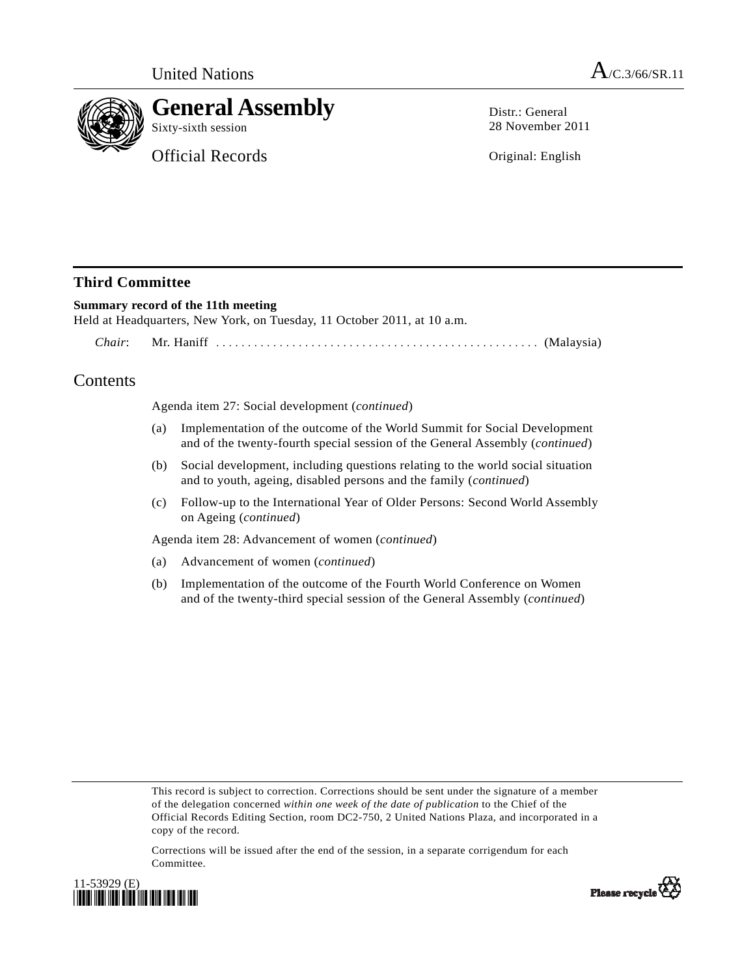

# **General Assembly**

Official Records

Distr · General 28 November 2011

Original: English

## **Third Committee**

#### **Summary record of the 11th meeting**

Held at Headquarters, New York, on Tuesday, 11 October 2011, at 10 a.m.

 *Chair*: Mr. Haniff ................................................... (Malaysia)

## **Contents**

Agenda item 27: Social development (*continued*)

- (a) Implementation of the outcome of the World Summit for Social Development and of the twenty-fourth special session of the General Assembly (*continued*)
- (b) Social development, including questions relating to the world social situation and to youth, ageing, disabled persons and the family (*continued*)
- (c) Follow-up to the International Year of Older Persons: Second World Assembly on Ageing (*continued*)

Agenda item 28: Advancement of women (*continued*)

- (a) Advancement of women (*continued*)
- (b) Implementation of the outcome of the Fourth World Conference on Women and of the twenty-third special session of the General Assembly (*continued*)

This record is subject to correction. Corrections should be sent under the signature of a member of the delegation concerned *within one week of the date of publication* to the Chief of the Official Records Editing Section, room DC2-750, 2 United Nations Plaza, and incorporated in a copy of the record.

Corrections will be issued after the end of the session, in a separate corrigendum for each Committee.



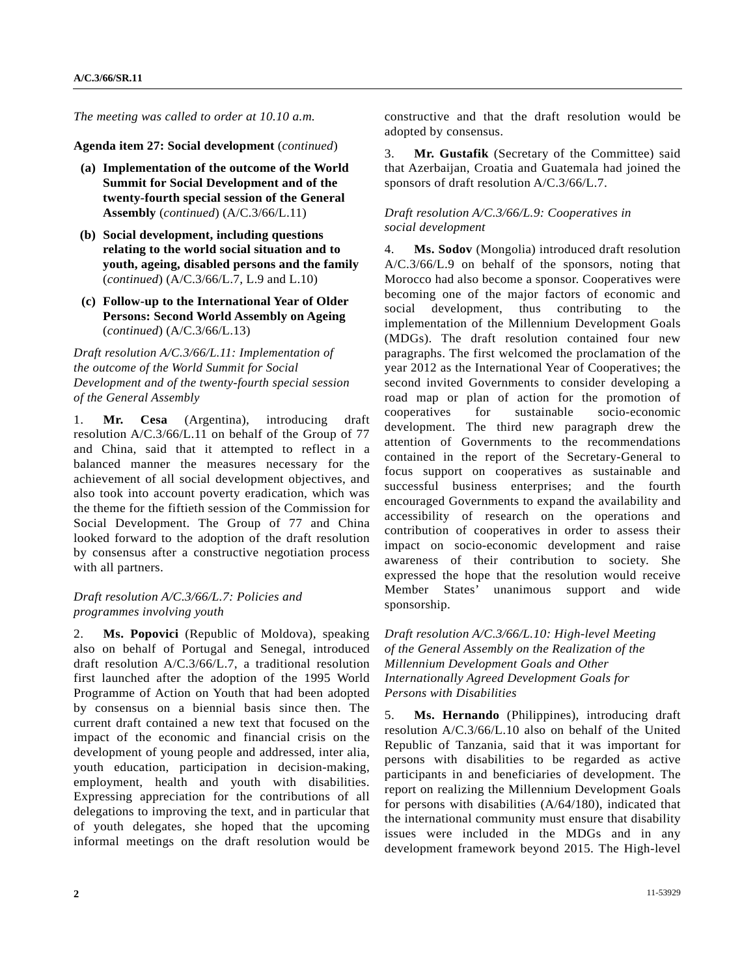*The meeting was called to order at 10.10 a.m.* 

**Agenda item 27: Social development** (*continued*)

- **(a) Implementation of the outcome of the World Summit for Social Development and of the twenty-fourth special session of the General Assembly** (*continued*) (A/C.3/66/L.11)
- **(b) Social development, including questions relating to the world social situation and to youth, ageing, disabled persons and the family**  (*continued*) (A/C.3/66/L.7, L.9 and L.10)
- **(c) Follow-up to the International Year of Older Persons: Second World Assembly on Ageing**  (*continued*) (A/C.3/66/L.13)

*Draft resolution A/C.3/66/L.11: Implementation of the outcome of the World Summit for Social Development and of the twenty-fourth special session of the General Assembly* 

1. **Mr. Cesa** (Argentina), introducing draft resolution A/C.3/66/L.11 on behalf of the Group of 77 and China, said that it attempted to reflect in a balanced manner the measures necessary for the achievement of all social development objectives, and also took into account poverty eradication, which was the theme for the fiftieth session of the Commission for Social Development. The Group of 77 and China looked forward to the adoption of the draft resolution by consensus after a constructive negotiation process with all partners.

### *Draft resolution A/C.3/66/L.7: Policies and programmes involving youth*

2. **Ms. Popovici** (Republic of Moldova), speaking also on behalf of Portugal and Senegal, introduced draft resolution A/C.3/66/L.7, a traditional resolution first launched after the adoption of the 1995 World Programme of Action on Youth that had been adopted by consensus on a biennial basis since then. The current draft contained a new text that focused on the impact of the economic and financial crisis on the development of young people and addressed, inter alia, youth education, participation in decision-making, employment, health and youth with disabilities. Expressing appreciation for the contributions of all delegations to improving the text, and in particular that of youth delegates, she hoped that the upcoming informal meetings on the draft resolution would be

constructive and that the draft resolution would be adopted by consensus.

3. **Mr. Gustafik** (Secretary of the Committee) said that Azerbaijan, Croatia and Guatemala had joined the sponsors of draft resolution A/C.3/66/L.7.

#### *Draft resolution A/C.3/66/L.9: Cooperatives in social development*

4. **Ms. Sodov** (Mongolia) introduced draft resolution A/C.3/66/L.9 on behalf of the sponsors, noting that Morocco had also become a sponsor. Cooperatives were becoming one of the major factors of economic and social development, thus contributing to the implementation of the Millennium Development Goals (MDGs). The draft resolution contained four new paragraphs. The first welcomed the proclamation of the year 2012 as the International Year of Cooperatives; the second invited Governments to consider developing a road map or plan of action for the promotion of cooperatives for sustainable socio-economic development. The third new paragraph drew the attention of Governments to the recommendations contained in the report of the Secretary-General to focus support on cooperatives as sustainable and successful business enterprises; and the fourth encouraged Governments to expand the availability and accessibility of research on the operations and contribution of cooperatives in order to assess their impact on socio-economic development and raise awareness of their contribution to society. She expressed the hope that the resolution would receive Member States' unanimous support and wide sponsorship.

*Draft resolution A/C.3/66/L.10: High-level Meeting of the General Assembly on the Realization of the Millennium Development Goals and Other Internationally Agreed Development Goals for Persons with Disabilities* 

5. **Ms. Hernando** (Philippines), introducing draft resolution A/C.3/66/L.10 also on behalf of the United Republic of Tanzania, said that it was important for persons with disabilities to be regarded as active participants in and beneficiaries of development. The report on realizing the Millennium Development Goals for persons with disabilities (A/64/180), indicated that the international community must ensure that disability issues were included in the MDGs and in any development framework beyond 2015. The High-level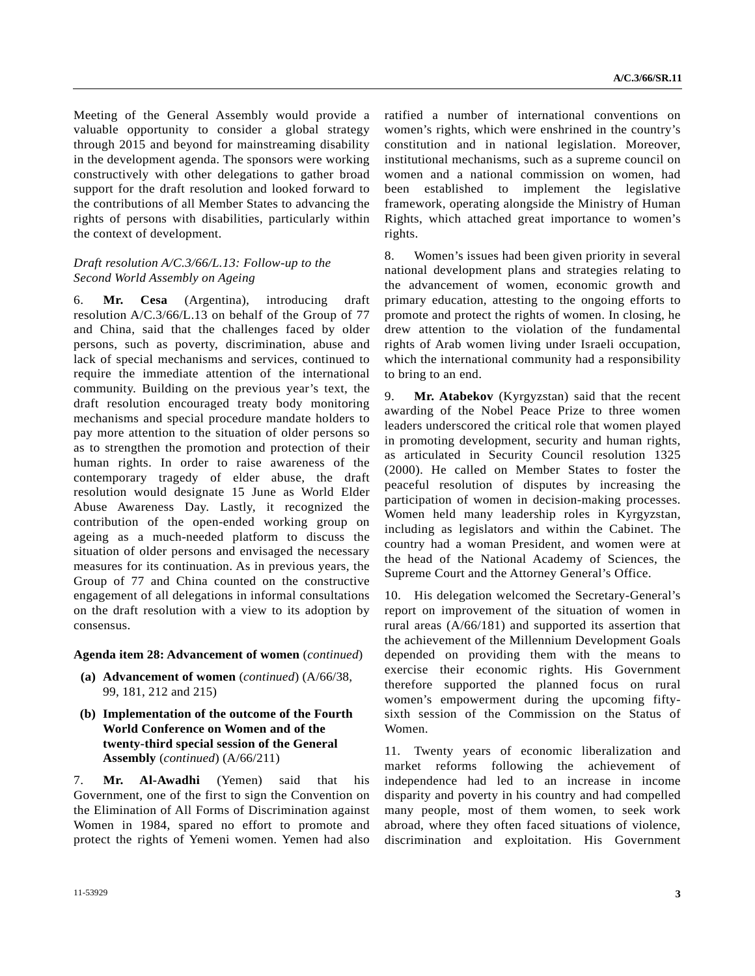Meeting of the General Assembly would provide a valuable opportunity to consider a global strategy through 2015 and beyond for mainstreaming disability in the development agenda. The sponsors were working constructively with other delegations to gather broad support for the draft resolution and looked forward to the contributions of all Member States to advancing the rights of persons with disabilities, particularly within the context of development.

#### *Draft resolution A/C.3/66/L.13: Follow-up to the Second World Assembly on Ageing*

6. **Mr. Cesa** (Argentina), introducing draft resolution A/C.3/66/L.13 on behalf of the Group of 77 and China, said that the challenges faced by older persons, such as poverty, discrimination, abuse and lack of special mechanisms and services, continued to require the immediate attention of the international community. Building on the previous year's text, the draft resolution encouraged treaty body monitoring mechanisms and special procedure mandate holders to pay more attention to the situation of older persons so as to strengthen the promotion and protection of their human rights. In order to raise awareness of the contemporary tragedy of elder abuse, the draft resolution would designate 15 June as World Elder Abuse Awareness Day. Lastly, it recognized the contribution of the open-ended working group on ageing as a much-needed platform to discuss the situation of older persons and envisaged the necessary measures for its continuation. As in previous years, the Group of 77 and China counted on the constructive engagement of all delegations in informal consultations on the draft resolution with a view to its adoption by consensus.

#### **Agenda item 28: Advancement of women** (*continued*)

- **(a) Advancement of women** (*continued*) (A/66/38, 99, 181, 212 and 215)
- **(b) Implementation of the outcome of the Fourth World Conference on Women and of the twenty-third special session of the General Assembly** (*continued*) (A/66/211)

7. **Mr. Al-Awadhi** (Yemen) said that his Government, one of the first to sign the Convention on the Elimination of All Forms of Discrimination against Women in 1984, spared no effort to promote and protect the rights of Yemeni women. Yemen had also ratified a number of international conventions on women's rights, which were enshrined in the country's constitution and in national legislation. Moreover, institutional mechanisms, such as a supreme council on women and a national commission on women, had been established to implement the legislative framework, operating alongside the Ministry of Human Rights, which attached great importance to women's rights.

8. Women's issues had been given priority in several national development plans and strategies relating to the advancement of women, economic growth and primary education, attesting to the ongoing efforts to promote and protect the rights of women. In closing, he drew attention to the violation of the fundamental rights of Arab women living under Israeli occupation, which the international community had a responsibility to bring to an end.

9. **Mr. Atabekov** (Kyrgyzstan) said that the recent awarding of the Nobel Peace Prize to three women leaders underscored the critical role that women played in promoting development, security and human rights, as articulated in Security Council resolution 1325 (2000). He called on Member States to foster the peaceful resolution of disputes by increasing the participation of women in decision-making processes. Women held many leadership roles in Kyrgyzstan, including as legislators and within the Cabinet. The country had a woman President, and women were at the head of the National Academy of Sciences, the Supreme Court and the Attorney General's Office.

10. His delegation welcomed the Secretary-General's report on improvement of the situation of women in rural areas (A/66/181) and supported its assertion that the achievement of the Millennium Development Goals depended on providing them with the means to exercise their economic rights. His Government therefore supported the planned focus on rural women's empowerment during the upcoming fiftysixth session of the Commission on the Status of Women.

11. Twenty years of economic liberalization and market reforms following the achievement of independence had led to an increase in income disparity and poverty in his country and had compelled many people, most of them women, to seek work abroad, where they often faced situations of violence, discrimination and exploitation. His Government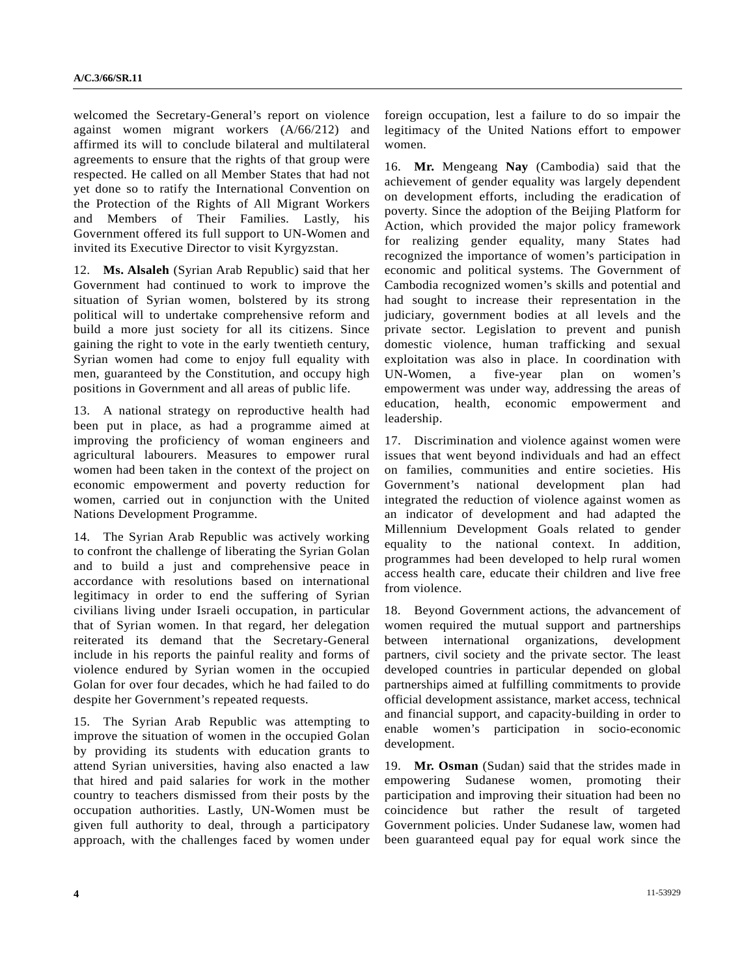welcomed the Secretary-General's report on violence against women migrant workers (A/66/212) and affirmed its will to conclude bilateral and multilateral agreements to ensure that the rights of that group were respected. He called on all Member States that had not yet done so to ratify the International Convention on the Protection of the Rights of All Migrant Workers and Members of Their Families. Lastly, his Government offered its full support to UN-Women and invited its Executive Director to visit Kyrgyzstan.

12. **Ms. Alsaleh** (Syrian Arab Republic) said that her Government had continued to work to improve the situation of Syrian women, bolstered by its strong political will to undertake comprehensive reform and build a more just society for all its citizens. Since gaining the right to vote in the early twentieth century, Syrian women had come to enjoy full equality with men, guaranteed by the Constitution, and occupy high positions in Government and all areas of public life.

13. A national strategy on reproductive health had been put in place, as had a programme aimed at improving the proficiency of woman engineers and agricultural labourers. Measures to empower rural women had been taken in the context of the project on economic empowerment and poverty reduction for women, carried out in conjunction with the United Nations Development Programme.

14. The Syrian Arab Republic was actively working to confront the challenge of liberating the Syrian Golan and to build a just and comprehensive peace in accordance with resolutions based on international legitimacy in order to end the suffering of Syrian civilians living under Israeli occupation, in particular that of Syrian women. In that regard, her delegation reiterated its demand that the Secretary-General include in his reports the painful reality and forms of violence endured by Syrian women in the occupied Golan for over four decades, which he had failed to do despite her Government's repeated requests.

15. The Syrian Arab Republic was attempting to improve the situation of women in the occupied Golan by providing its students with education grants to attend Syrian universities, having also enacted a law that hired and paid salaries for work in the mother country to teachers dismissed from their posts by the occupation authorities. Lastly, UN-Women must be given full authority to deal, through a participatory approach, with the challenges faced by women under foreign occupation, lest a failure to do so impair the legitimacy of the United Nations effort to empower women.

16. **Mr.** Mengeang **Nay** (Cambodia) said that the achievement of gender equality was largely dependent on development efforts, including the eradication of poverty. Since the adoption of the Beijing Platform for Action, which provided the major policy framework for realizing gender equality, many States had recognized the importance of women's participation in economic and political systems. The Government of Cambodia recognized women's skills and potential and had sought to increase their representation in the judiciary, government bodies at all levels and the private sector. Legislation to prevent and punish domestic violence, human trafficking and sexual exploitation was also in place. In coordination with UN-Women, a five-year plan on women's empowerment was under way, addressing the areas of education, health, economic empowerment and leadership.

17. Discrimination and violence against women were issues that went beyond individuals and had an effect on families, communities and entire societies. His Government's national development plan had integrated the reduction of violence against women as an indicator of development and had adapted the Millennium Development Goals related to gender equality to the national context. In addition, programmes had been developed to help rural women access health care, educate their children and live free from violence.

18. Beyond Government actions, the advancement of women required the mutual support and partnerships between international organizations, development partners, civil society and the private sector. The least developed countries in particular depended on global partnerships aimed at fulfilling commitments to provide official development assistance, market access, technical and financial support, and capacity-building in order to enable women's participation in socio-economic development.

19. **Mr. Osman** (Sudan) said that the strides made in empowering Sudanese women, promoting their participation and improving their situation had been no coincidence but rather the result of targeted Government policies. Under Sudanese law, women had been guaranteed equal pay for equal work since the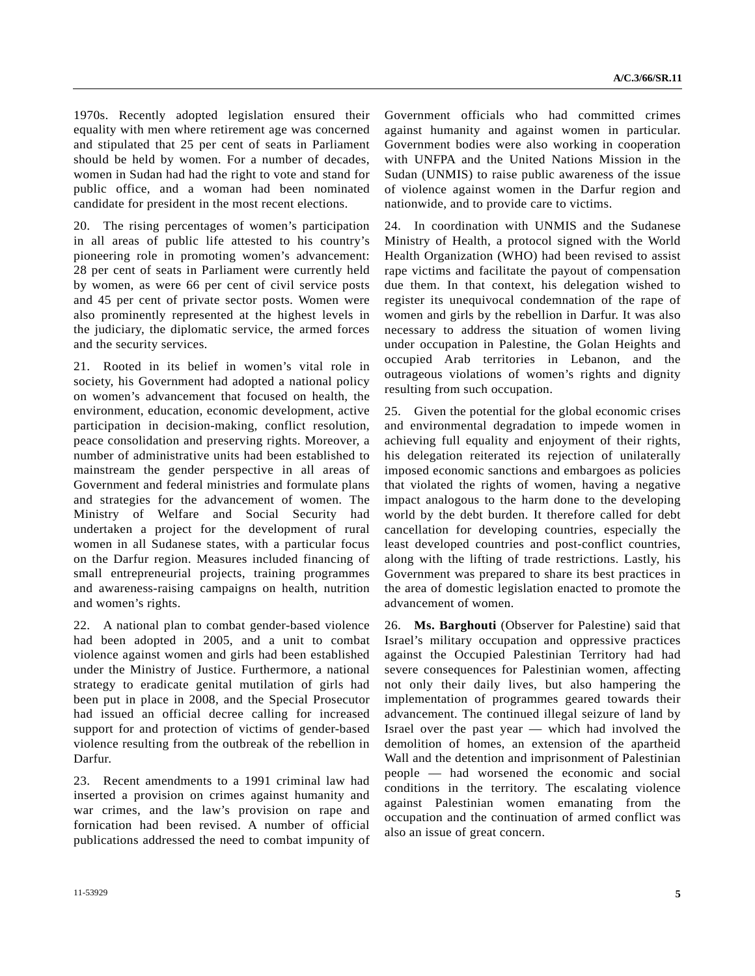1970s. Recently adopted legislation ensured their equality with men where retirement age was concerned and stipulated that 25 per cent of seats in Parliament should be held by women. For a number of decades, women in Sudan had had the right to vote and stand for public office, and a woman had been nominated candidate for president in the most recent elections.

20. The rising percentages of women's participation in all areas of public life attested to his country's pioneering role in promoting women's advancement: 28 per cent of seats in Parliament were currently held by women, as were 66 per cent of civil service posts and 45 per cent of private sector posts. Women were also prominently represented at the highest levels in the judiciary, the diplomatic service, the armed forces and the security services.

21. Rooted in its belief in women's vital role in society, his Government had adopted a national policy on women's advancement that focused on health, the environment, education, economic development, active participation in decision-making, conflict resolution, peace consolidation and preserving rights. Moreover, a number of administrative units had been established to mainstream the gender perspective in all areas of Government and federal ministries and formulate plans and strategies for the advancement of women. The Ministry of Welfare and Social Security had undertaken a project for the development of rural women in all Sudanese states, with a particular focus on the Darfur region. Measures included financing of small entrepreneurial projects, training programmes and awareness-raising campaigns on health, nutrition and women's rights.

22. A national plan to combat gender-based violence had been adopted in 2005, and a unit to combat violence against women and girls had been established under the Ministry of Justice. Furthermore, a national strategy to eradicate genital mutilation of girls had been put in place in 2008, and the Special Prosecutor had issued an official decree calling for increased support for and protection of victims of gender-based violence resulting from the outbreak of the rebellion in Darfur.

23. Recent amendments to a 1991 criminal law had inserted a provision on crimes against humanity and war crimes, and the law's provision on rape and fornication had been revised. A number of official publications addressed the need to combat impunity of

Government officials who had committed crimes against humanity and against women in particular. Government bodies were also working in cooperation with UNFPA and the United Nations Mission in the Sudan (UNMIS) to raise public awareness of the issue of violence against women in the Darfur region and nationwide, and to provide care to victims.

24. In coordination with UNMIS and the Sudanese Ministry of Health, a protocol signed with the World Health Organization (WHO) had been revised to assist rape victims and facilitate the payout of compensation due them. In that context, his delegation wished to register its unequivocal condemnation of the rape of women and girls by the rebellion in Darfur. It was also necessary to address the situation of women living under occupation in Palestine, the Golan Heights and occupied Arab territories in Lebanon, and the outrageous violations of women's rights and dignity resulting from such occupation.

25. Given the potential for the global economic crises and environmental degradation to impede women in achieving full equality and enjoyment of their rights, his delegation reiterated its rejection of unilaterally imposed economic sanctions and embargoes as policies that violated the rights of women, having a negative impact analogous to the harm done to the developing world by the debt burden. It therefore called for debt cancellation for developing countries, especially the least developed countries and post-conflict countries, along with the lifting of trade restrictions. Lastly, his Government was prepared to share its best practices in the area of domestic legislation enacted to promote the advancement of women.

26. **Ms. Barghouti** (Observer for Palestine) said that Israel's military occupation and oppressive practices against the Occupied Palestinian Territory had had severe consequences for Palestinian women, affecting not only their daily lives, but also hampering the implementation of programmes geared towards their advancement. The continued illegal seizure of land by Israel over the past year — which had involved the demolition of homes, an extension of the apartheid Wall and the detention and imprisonment of Palestinian people — had worsened the economic and social conditions in the territory. The escalating violence against Palestinian women emanating from the occupation and the continuation of armed conflict was also an issue of great concern.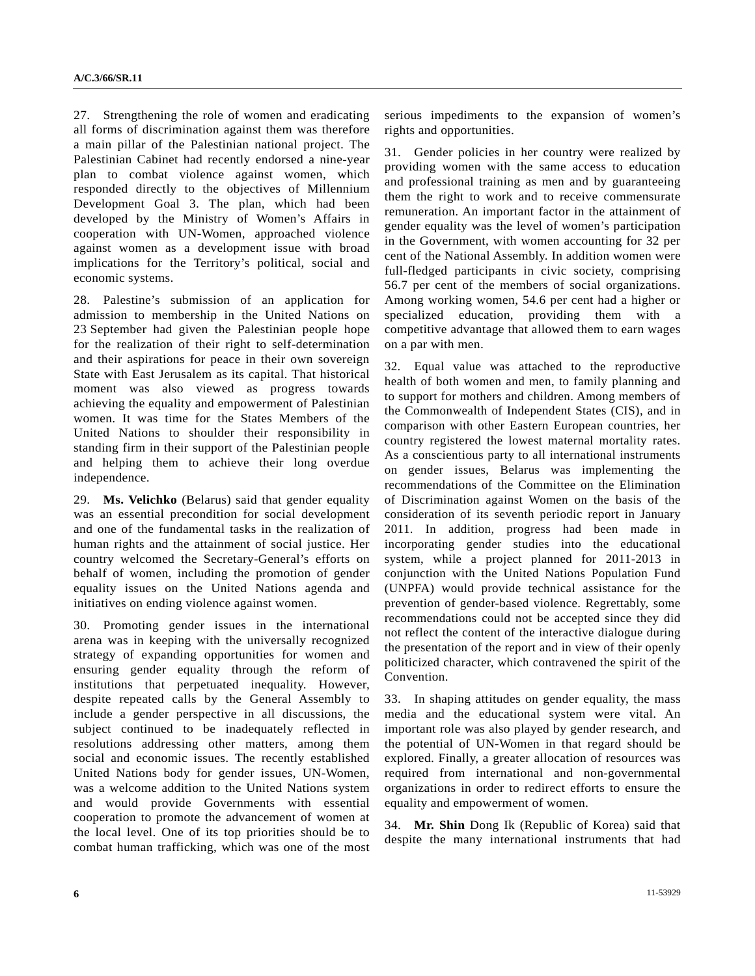27. Strengthening the role of women and eradicating all forms of discrimination against them was therefore a main pillar of the Palestinian national project. The Palestinian Cabinet had recently endorsed a nine-year plan to combat violence against women, which responded directly to the objectives of Millennium Development Goal 3. The plan, which had been developed by the Ministry of Women's Affairs in cooperation with UN-Women, approached violence against women as a development issue with broad implications for the Territory's political, social and economic systems.

28. Palestine's submission of an application for admission to membership in the United Nations on 23 September had given the Palestinian people hope for the realization of their right to self-determination and their aspirations for peace in their own sovereign State with East Jerusalem as its capital. That historical moment was also viewed as progress towards achieving the equality and empowerment of Palestinian women. It was time for the States Members of the United Nations to shoulder their responsibility in standing firm in their support of the Palestinian people and helping them to achieve their long overdue independence.

29. **Ms. Velichko** (Belarus) said that gender equality was an essential precondition for social development and one of the fundamental tasks in the realization of human rights and the attainment of social justice. Her country welcomed the Secretary-General's efforts on behalf of women, including the promotion of gender equality issues on the United Nations agenda and initiatives on ending violence against women.

30. Promoting gender issues in the international arena was in keeping with the universally recognized strategy of expanding opportunities for women and ensuring gender equality through the reform of institutions that perpetuated inequality. However, despite repeated calls by the General Assembly to include a gender perspective in all discussions, the subject continued to be inadequately reflected in resolutions addressing other matters, among them social and economic issues. The recently established United Nations body for gender issues, UN-Women, was a welcome addition to the United Nations system and would provide Governments with essential cooperation to promote the advancement of women at the local level. One of its top priorities should be to combat human trafficking, which was one of the most

serious impediments to the expansion of women's rights and opportunities.

31. Gender policies in her country were realized by providing women with the same access to education and professional training as men and by guaranteeing them the right to work and to receive commensurate remuneration. An important factor in the attainment of gender equality was the level of women's participation in the Government, with women accounting for 32 per cent of the National Assembly. In addition women were full-fledged participants in civic society, comprising 56.7 per cent of the members of social organizations. Among working women, 54.6 per cent had a higher or specialized education, providing them with a competitive advantage that allowed them to earn wages on a par with men.

32. Equal value was attached to the reproductive health of both women and men, to family planning and to support for mothers and children. Among members of the Commonwealth of Independent States (CIS), and in comparison with other Eastern European countries, her country registered the lowest maternal mortality rates. As a conscientious party to all international instruments on gender issues, Belarus was implementing the recommendations of the Committee on the Elimination of Discrimination against Women on the basis of the consideration of its seventh periodic report in January 2011. In addition, progress had been made in incorporating gender studies into the educational system, while a project planned for 2011-2013 in conjunction with the United Nations Population Fund (UNPFA) would provide technical assistance for the prevention of gender-based violence. Regrettably, some recommendations could not be accepted since they did not reflect the content of the interactive dialogue during the presentation of the report and in view of their openly politicized character, which contravened the spirit of the Convention.

33. In shaping attitudes on gender equality, the mass media and the educational system were vital. An important role was also played by gender research, and the potential of UN-Women in that regard should be explored. Finally, a greater allocation of resources was required from international and non-governmental organizations in order to redirect efforts to ensure the equality and empowerment of women.

34. **Mr. Shin** Dong Ik (Republic of Korea) said that despite the many international instruments that had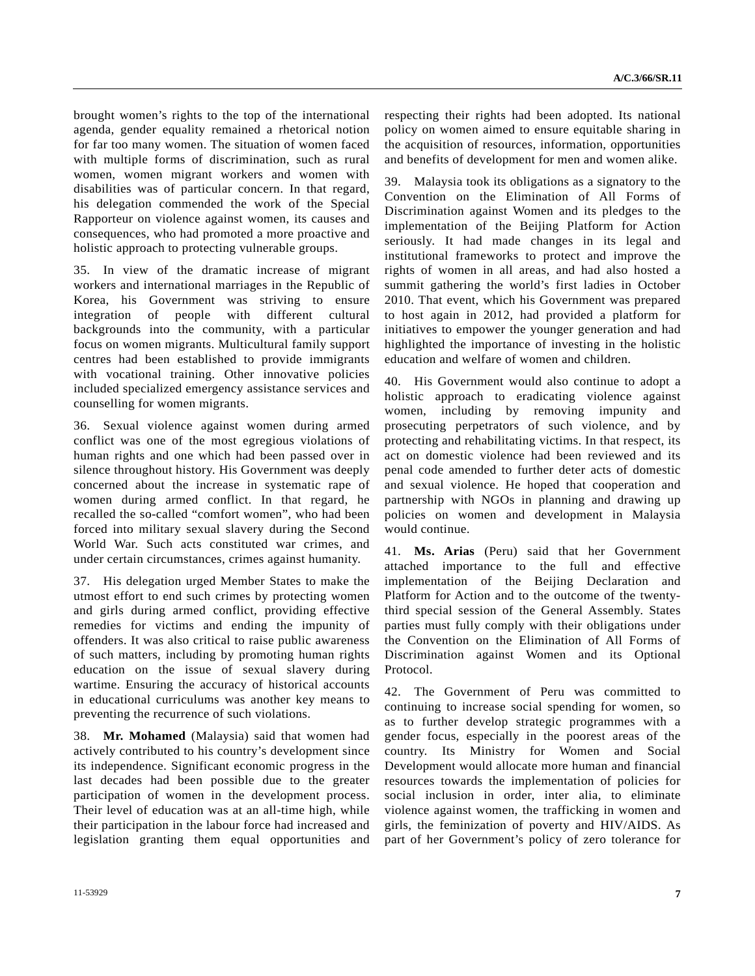brought women's rights to the top of the international agenda, gender equality remained a rhetorical notion for far too many women. The situation of women faced with multiple forms of discrimination, such as rural women, women migrant workers and women with disabilities was of particular concern. In that regard, his delegation commended the work of the Special Rapporteur on violence against women, its causes and consequences, who had promoted a more proactive and holistic approach to protecting vulnerable groups.

35. In view of the dramatic increase of migrant workers and international marriages in the Republic of Korea, his Government was striving to ensure integration of people with different cultural backgrounds into the community, with a particular focus on women migrants. Multicultural family support centres had been established to provide immigrants with vocational training. Other innovative policies included specialized emergency assistance services and counselling for women migrants.

36. Sexual violence against women during armed conflict was one of the most egregious violations of human rights and one which had been passed over in silence throughout history. His Government was deeply concerned about the increase in systematic rape of women during armed conflict. In that regard, he recalled the so-called "comfort women", who had been forced into military sexual slavery during the Second World War. Such acts constituted war crimes, and under certain circumstances, crimes against humanity.

37. His delegation urged Member States to make the utmost effort to end such crimes by protecting women and girls during armed conflict, providing effective remedies for victims and ending the impunity of offenders. It was also critical to raise public awareness of such matters, including by promoting human rights education on the issue of sexual slavery during wartime. Ensuring the accuracy of historical accounts in educational curriculums was another key means to preventing the recurrence of such violations.

38. **Mr. Mohamed** (Malaysia) said that women had actively contributed to his country's development since its independence. Significant economic progress in the last decades had been possible due to the greater participation of women in the development process. Their level of education was at an all-time high, while their participation in the labour force had increased and legislation granting them equal opportunities and respecting their rights had been adopted. Its national policy on women aimed to ensure equitable sharing in the acquisition of resources, information, opportunities and benefits of development for men and women alike.

39. Malaysia took its obligations as a signatory to the Convention on the Elimination of All Forms of Discrimination against Women and its pledges to the implementation of the Beijing Platform for Action seriously. It had made changes in its legal and institutional frameworks to protect and improve the rights of women in all areas, and had also hosted a summit gathering the world's first ladies in October 2010. That event, which his Government was prepared to host again in 2012, had provided a platform for initiatives to empower the younger generation and had highlighted the importance of investing in the holistic education and welfare of women and children.

40. His Government would also continue to adopt a holistic approach to eradicating violence against women, including by removing impunity and prosecuting perpetrators of such violence, and by protecting and rehabilitating victims. In that respect, its act on domestic violence had been reviewed and its penal code amended to further deter acts of domestic and sexual violence. He hoped that cooperation and partnership with NGOs in planning and drawing up policies on women and development in Malaysia would continue.

41. **Ms. Arias** (Peru) said that her Government attached importance to the full and effective implementation of the Beijing Declaration and Platform for Action and to the outcome of the twentythird special session of the General Assembly. States parties must fully comply with their obligations under the Convention on the Elimination of All Forms of Discrimination against Women and its Optional Protocol.

42. The Government of Peru was committed to continuing to increase social spending for women, so as to further develop strategic programmes with a gender focus, especially in the poorest areas of the country. Its Ministry for Women and Social Development would allocate more human and financial resources towards the implementation of policies for social inclusion in order, inter alia, to eliminate violence against women, the trafficking in women and girls, the feminization of poverty and HIV/AIDS. As part of her Government's policy of zero tolerance for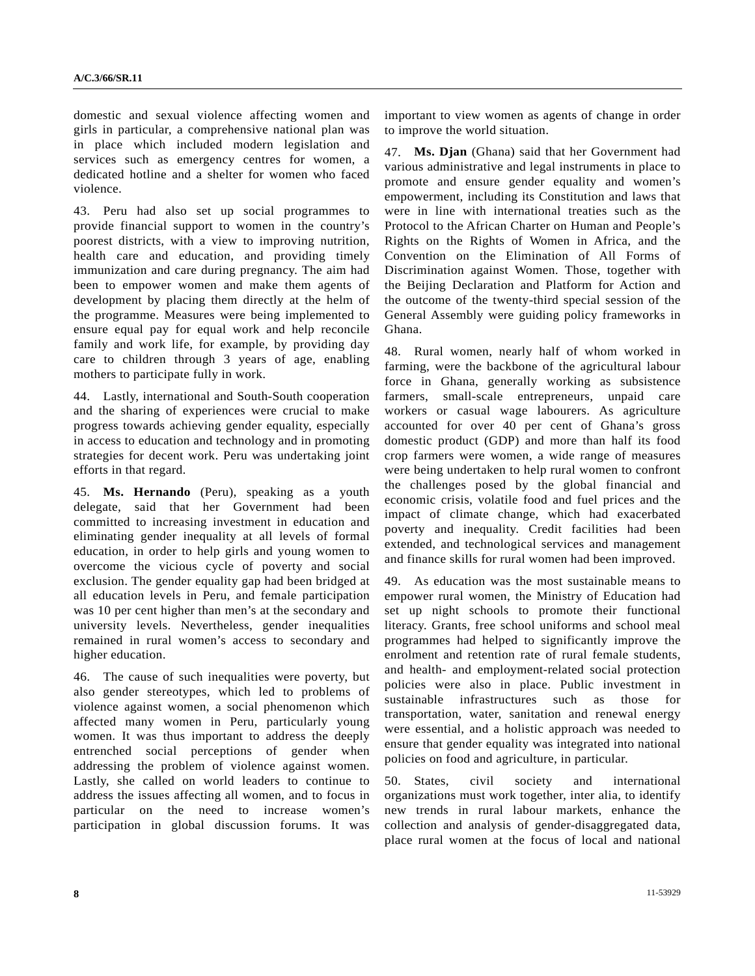domestic and sexual violence affecting women and girls in particular, a comprehensive national plan was in place which included modern legislation and services such as emergency centres for women, a dedicated hotline and a shelter for women who faced violence.

43. Peru had also set up social programmes to provide financial support to women in the country's poorest districts, with a view to improving nutrition, health care and education, and providing timely immunization and care during pregnancy. The aim had been to empower women and make them agents of development by placing them directly at the helm of the programme. Measures were being implemented to ensure equal pay for equal work and help reconcile family and work life, for example, by providing day care to children through 3 years of age, enabling mothers to participate fully in work.

44. Lastly, international and South-South cooperation and the sharing of experiences were crucial to make progress towards achieving gender equality, especially in access to education and technology and in promoting strategies for decent work. Peru was undertaking joint efforts in that regard.

45. **Ms. Hernando** (Peru), speaking as a youth delegate, said that her Government had been committed to increasing investment in education and eliminating gender inequality at all levels of formal education, in order to help girls and young women to overcome the vicious cycle of poverty and social exclusion. The gender equality gap had been bridged at all education levels in Peru, and female participation was 10 per cent higher than men's at the secondary and university levels. Nevertheless, gender inequalities remained in rural women's access to secondary and higher education.

46. The cause of such inequalities were poverty, but also gender stereotypes, which led to problems of violence against women, a social phenomenon which affected many women in Peru, particularly young women. It was thus important to address the deeply entrenched social perceptions of gender when addressing the problem of violence against women. Lastly, she called on world leaders to continue to address the issues affecting all women, and to focus in particular on the need to increase women's participation in global discussion forums. It was

important to view women as agents of change in order to improve the world situation.

47. **Ms. Djan** (Ghana) said that her Government had various administrative and legal instruments in place to promote and ensure gender equality and women's empowerment, including its Constitution and laws that were in line with international treaties such as the Protocol to the African Charter on Human and People's Rights on the Rights of Women in Africa, and the Convention on the Elimination of All Forms of Discrimination against Women. Those, together with the Beijing Declaration and Platform for Action and the outcome of the twenty-third special session of the General Assembly were guiding policy frameworks in Ghana.

48. Rural women, nearly half of whom worked in farming, were the backbone of the agricultural labour force in Ghana, generally working as subsistence farmers, small-scale entrepreneurs, unpaid care workers or casual wage labourers. As agriculture accounted for over 40 per cent of Ghana's gross domestic product (GDP) and more than half its food crop farmers were women, a wide range of measures were being undertaken to help rural women to confront the challenges posed by the global financial and economic crisis, volatile food and fuel prices and the impact of climate change, which had exacerbated poverty and inequality. Credit facilities had been extended, and technological services and management and finance skills for rural women had been improved.

49. As education was the most sustainable means to empower rural women, the Ministry of Education had set up night schools to promote their functional literacy. Grants, free school uniforms and school meal programmes had helped to significantly improve the enrolment and retention rate of rural female students, and health- and employment-related social protection policies were also in place. Public investment in sustainable infrastructures such as those transportation, water, sanitation and renewal energy were essential, and a holistic approach was needed to ensure that gender equality was integrated into national policies on food and agriculture, in particular.

50. States, civil society and international organizations must work together, inter alia, to identify new trends in rural labour markets, enhance the collection and analysis of gender-disaggregated data, place rural women at the focus of local and national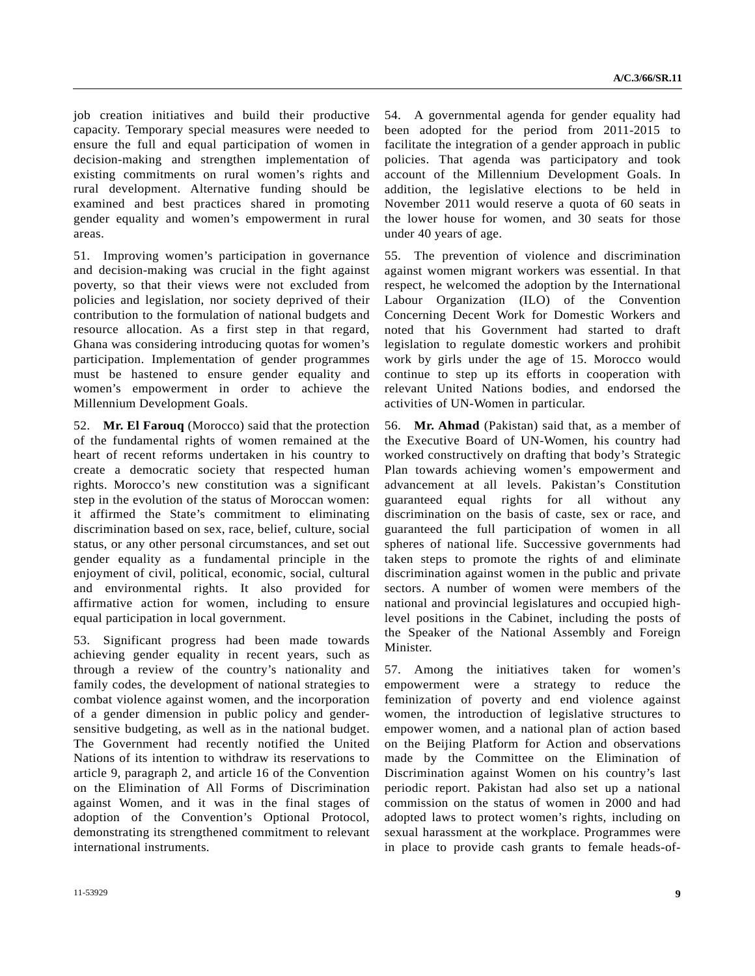job creation initiatives and build their productive capacity. Temporary special measures were needed to ensure the full and equal participation of women in decision-making and strengthen implementation of existing commitments on rural women's rights and rural development. Alternative funding should be examined and best practices shared in promoting gender equality and women's empowerment in rural areas.

51. Improving women's participation in governance and decision-making was crucial in the fight against poverty, so that their views were not excluded from policies and legislation, nor society deprived of their contribution to the formulation of national budgets and resource allocation. As a first step in that regard, Ghana was considering introducing quotas for women's participation. Implementation of gender programmes must be hastened to ensure gender equality and women's empowerment in order to achieve the Millennium Development Goals.

52. **Mr. El Farouq** (Morocco) said that the protection of the fundamental rights of women remained at the heart of recent reforms undertaken in his country to create a democratic society that respected human rights. Morocco's new constitution was a significant step in the evolution of the status of Moroccan women: it affirmed the State's commitment to eliminating discrimination based on sex, race, belief, culture, social status, or any other personal circumstances, and set out gender equality as a fundamental principle in the enjoyment of civil, political, economic, social, cultural and environmental rights. It also provided for affirmative action for women, including to ensure equal participation in local government.

53. Significant progress had been made towards achieving gender equality in recent years, such as through a review of the country's nationality and family codes, the development of national strategies to combat violence against women, and the incorporation of a gender dimension in public policy and gendersensitive budgeting, as well as in the national budget. The Government had recently notified the United Nations of its intention to withdraw its reservations to article 9, paragraph 2, and article 16 of the Convention on the Elimination of All Forms of Discrimination against Women, and it was in the final stages of adoption of the Convention's Optional Protocol, demonstrating its strengthened commitment to relevant international instruments.

54. A governmental agenda for gender equality had been adopted for the period from 2011-2015 to facilitate the integration of a gender approach in public policies. That agenda was participatory and took account of the Millennium Development Goals. In addition, the legislative elections to be held in November 2011 would reserve a quota of 60 seats in the lower house for women, and 30 seats for those under 40 years of age.

55. The prevention of violence and discrimination against women migrant workers was essential. In that respect, he welcomed the adoption by the International Labour Organization (ILO) of the Convention Concerning Decent Work for Domestic Workers and noted that his Government had started to draft legislation to regulate domestic workers and prohibit work by girls under the age of 15. Morocco would continue to step up its efforts in cooperation with relevant United Nations bodies, and endorsed the activities of UN-Women in particular.

56. **Mr. Ahmad** (Pakistan) said that, as a member of the Executive Board of UN-Women, his country had worked constructively on drafting that body's Strategic Plan towards achieving women's empowerment and advancement at all levels. Pakistan's Constitution guaranteed equal rights for all without any discrimination on the basis of caste, sex or race, and guaranteed the full participation of women in all spheres of national life. Successive governments had taken steps to promote the rights of and eliminate discrimination against women in the public and private sectors. A number of women were members of the national and provincial legislatures and occupied highlevel positions in the Cabinet, including the posts of the Speaker of the National Assembly and Foreign Minister.

57. Among the initiatives taken for women's empowerment were a strategy to reduce the feminization of poverty and end violence against women, the introduction of legislative structures to empower women, and a national plan of action based on the Beijing Platform for Action and observations made by the Committee on the Elimination of Discrimination against Women on his country's last periodic report. Pakistan had also set up a national commission on the status of women in 2000 and had adopted laws to protect women's rights, including on sexual harassment at the workplace. Programmes were in place to provide cash grants to female heads-of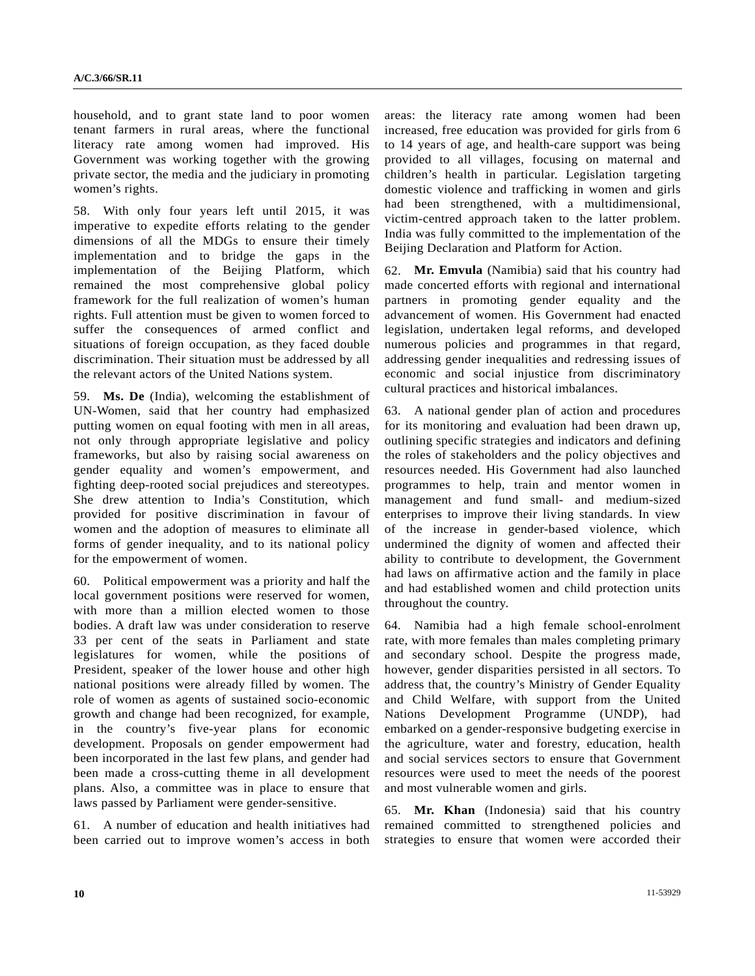household, and to grant state land to poor women tenant farmers in rural areas, where the functional literacy rate among women had improved. His Government was working together with the growing private sector, the media and the judiciary in promoting women's rights.

58. With only four years left until 2015, it was imperative to expedite efforts relating to the gender dimensions of all the MDGs to ensure their timely implementation and to bridge the gaps in the implementation of the Beijing Platform, which remained the most comprehensive global policy framework for the full realization of women's human rights. Full attention must be given to women forced to suffer the consequences of armed conflict and situations of foreign occupation, as they faced double discrimination. Their situation must be addressed by all the relevant actors of the United Nations system.

59. **Ms. De** (India), welcoming the establishment of UN-Women, said that her country had emphasized putting women on equal footing with men in all areas, not only through appropriate legislative and policy frameworks, but also by raising social awareness on gender equality and women's empowerment, and fighting deep-rooted social prejudices and stereotypes. She drew attention to India's Constitution, which provided for positive discrimination in favour of women and the adoption of measures to eliminate all forms of gender inequality, and to its national policy for the empowerment of women.

60. Political empowerment was a priority and half the local government positions were reserved for women, with more than a million elected women to those bodies. A draft law was under consideration to reserve 33 per cent of the seats in Parliament and state legislatures for women, while the positions of President, speaker of the lower house and other high national positions were already filled by women. The role of women as agents of sustained socio-economic growth and change had been recognized, for example, in the country's five-year plans for economic development. Proposals on gender empowerment had been incorporated in the last few plans, and gender had been made a cross-cutting theme in all development plans. Also, a committee was in place to ensure that laws passed by Parliament were gender-sensitive.

61. A number of education and health initiatives had been carried out to improve women's access in both areas: the literacy rate among women had been increased, free education was provided for girls from 6 to 14 years of age, and health-care support was being provided to all villages, focusing on maternal and children's health in particular. Legislation targeting domestic violence and trafficking in women and girls had been strengthened, with a multidimensional, victim-centred approach taken to the latter problem. India was fully committed to the implementation of the Beijing Declaration and Platform for Action.

62. **Mr. Emvula** (Namibia) said that his country had made concerted efforts with regional and international partners in promoting gender equality and the advancement of women. His Government had enacted legislation, undertaken legal reforms, and developed numerous policies and programmes in that regard, addressing gender inequalities and redressing issues of economic and social injustice from discriminatory cultural practices and historical imbalances.

63. A national gender plan of action and procedures for its monitoring and evaluation had been drawn up, outlining specific strategies and indicators and defining the roles of stakeholders and the policy objectives and resources needed. His Government had also launched programmes to help, train and mentor women in management and fund small- and medium-sized enterprises to improve their living standards. In view of the increase in gender-based violence, which undermined the dignity of women and affected their ability to contribute to development, the Government had laws on affirmative action and the family in place and had established women and child protection units throughout the country.

64. Namibia had a high female school-enrolment rate, with more females than males completing primary and secondary school. Despite the progress made, however, gender disparities persisted in all sectors. To address that, the country's Ministry of Gender Equality and Child Welfare, with support from the United Nations Development Programme (UNDP), had embarked on a gender-responsive budgeting exercise in the agriculture, water and forestry, education, health and social services sectors to ensure that Government resources were used to meet the needs of the poorest and most vulnerable women and girls.

65. **Mr. Khan** (Indonesia) said that his country remained committed to strengthened policies and strategies to ensure that women were accorded their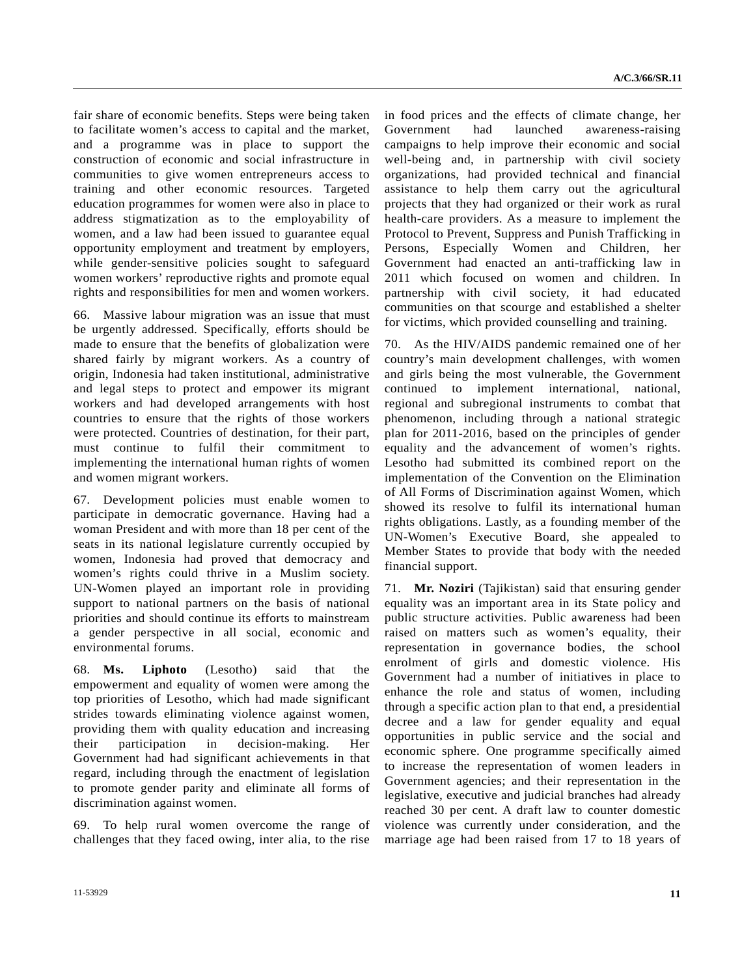fair share of economic benefits. Steps were being taken to facilitate women's access to capital and the market, and a programme was in place to support the construction of economic and social infrastructure in communities to give women entrepreneurs access to training and other economic resources. Targeted education programmes for women were also in place to address stigmatization as to the employability of women, and a law had been issued to guarantee equal opportunity employment and treatment by employers, while gender-sensitive policies sought to safeguard women workers' reproductive rights and promote equal rights and responsibilities for men and women workers.

66. Massive labour migration was an issue that must be urgently addressed. Specifically, efforts should be made to ensure that the benefits of globalization were shared fairly by migrant workers. As a country of origin, Indonesia had taken institutional, administrative and legal steps to protect and empower its migrant workers and had developed arrangements with host countries to ensure that the rights of those workers were protected. Countries of destination, for their part, must continue to fulfil their commitment to implementing the international human rights of women and women migrant workers.

67. Development policies must enable women to participate in democratic governance. Having had a woman President and with more than 18 per cent of the seats in its national legislature currently occupied by women, Indonesia had proved that democracy and women's rights could thrive in a Muslim society. UN-Women played an important role in providing support to national partners on the basis of national priorities and should continue its efforts to mainstream a gender perspective in all social, economic and environmental forums.

68. **Ms. Liphoto** (Lesotho) said that the empowerment and equality of women were among the top priorities of Lesotho, which had made significant strides towards eliminating violence against women, providing them with quality education and increasing their participation in decision-making. Her Government had had significant achievements in that regard, including through the enactment of legislation to promote gender parity and eliminate all forms of discrimination against women.

69. To help rural women overcome the range of challenges that they faced owing, inter alia, to the rise

in food prices and the effects of climate change, her Government had launched awareness-raising campaigns to help improve their economic and social well-being and, in partnership with civil society organizations, had provided technical and financial assistance to help them carry out the agricultural projects that they had organized or their work as rural health-care providers. As a measure to implement the Protocol to Prevent, Suppress and Punish Trafficking in Persons, Especially Women and Children, her Government had enacted an anti-trafficking law in 2011 which focused on women and children. In partnership with civil society, it had educated communities on that scourge and established a shelter for victims, which provided counselling and training.

70. As the HIV/AIDS pandemic remained one of her country's main development challenges, with women and girls being the most vulnerable, the Government continued to implement international, national, regional and subregional instruments to combat that phenomenon, including through a national strategic plan for 2011-2016, based on the principles of gender equality and the advancement of women's rights. Lesotho had submitted its combined report on the implementation of the Convention on the Elimination of All Forms of Discrimination against Women, which showed its resolve to fulfil its international human rights obligations. Lastly, as a founding member of the UN-Women's Executive Board, she appealed to Member States to provide that body with the needed financial support.

71. **Mr. Noziri** (Tajikistan) said that ensuring gender equality was an important area in its State policy and public structure activities. Public awareness had been raised on matters such as women's equality, their representation in governance bodies, the school enrolment of girls and domestic violence. His Government had a number of initiatives in place to enhance the role and status of women, including through a specific action plan to that end, a presidential decree and a law for gender equality and equal opportunities in public service and the social and economic sphere. One programme specifically aimed to increase the representation of women leaders in Government agencies; and their representation in the legislative, executive and judicial branches had already reached 30 per cent. A draft law to counter domestic violence was currently under consideration, and the marriage age had been raised from 17 to 18 years of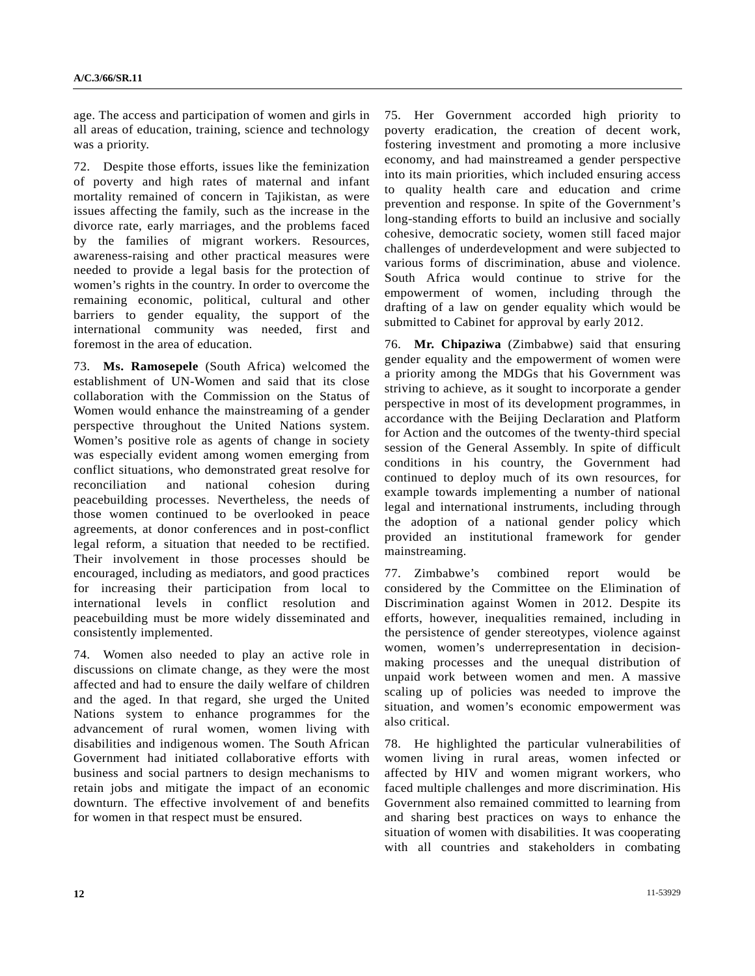age. The access and participation of women and girls in all areas of education, training, science and technology was a priority.

72. Despite those efforts, issues like the feminization of poverty and high rates of maternal and infant mortality remained of concern in Tajikistan, as were issues affecting the family, such as the increase in the divorce rate, early marriages, and the problems faced by the families of migrant workers. Resources, awareness-raising and other practical measures were needed to provide a legal basis for the protection of women's rights in the country. In order to overcome the remaining economic, political, cultural and other barriers to gender equality, the support of the international community was needed, first and foremost in the area of education.

73. **Ms. Ramosepele** (South Africa) welcomed the establishment of UN-Women and said that its close collaboration with the Commission on the Status of Women would enhance the mainstreaming of a gender perspective throughout the United Nations system. Women's positive role as agents of change in society was especially evident among women emerging from conflict situations, who demonstrated great resolve for reconciliation and national cohesion during peacebuilding processes. Nevertheless, the needs of those women continued to be overlooked in peace agreements, at donor conferences and in post-conflict legal reform, a situation that needed to be rectified. Their involvement in those processes should be encouraged, including as mediators, and good practices for increasing their participation from local to international levels in conflict resolution and peacebuilding must be more widely disseminated and consistently implemented.

74. Women also needed to play an active role in discussions on climate change, as they were the most affected and had to ensure the daily welfare of children and the aged. In that regard, she urged the United Nations system to enhance programmes for the advancement of rural women, women living with disabilities and indigenous women. The South African Government had initiated collaborative efforts with business and social partners to design mechanisms to retain jobs and mitigate the impact of an economic downturn. The effective involvement of and benefits for women in that respect must be ensured.

75. Her Government accorded high priority to poverty eradication, the creation of decent work, fostering investment and promoting a more inclusive economy, and had mainstreamed a gender perspective into its main priorities, which included ensuring access to quality health care and education and crime prevention and response. In spite of the Government's long-standing efforts to build an inclusive and socially cohesive, democratic society, women still faced major challenges of underdevelopment and were subjected to various forms of discrimination, abuse and violence. South Africa would continue to strive for the empowerment of women, including through the drafting of a law on gender equality which would be submitted to Cabinet for approval by early 2012.

76. **Mr. Chipaziwa** (Zimbabwe) said that ensuring gender equality and the empowerment of women were a priority among the MDGs that his Government was striving to achieve, as it sought to incorporate a gender perspective in most of its development programmes, in accordance with the Beijing Declaration and Platform for Action and the outcomes of the twenty-third special session of the General Assembly. In spite of difficult conditions in his country, the Government had continued to deploy much of its own resources, for example towards implementing a number of national legal and international instruments, including through the adoption of a national gender policy which provided an institutional framework for gender mainstreaming.

77. Zimbabwe's combined report would be considered by the Committee on the Elimination of Discrimination against Women in 2012. Despite its efforts, however, inequalities remained, including in the persistence of gender stereotypes, violence against women, women's underrepresentation in decisionmaking processes and the unequal distribution of unpaid work between women and men. A massive scaling up of policies was needed to improve the situation, and women's economic empowerment was also critical.

78. He highlighted the particular vulnerabilities of women living in rural areas, women infected or affected by HIV and women migrant workers, who faced multiple challenges and more discrimination. His Government also remained committed to learning from and sharing best practices on ways to enhance the situation of women with disabilities. It was cooperating with all countries and stakeholders in combating